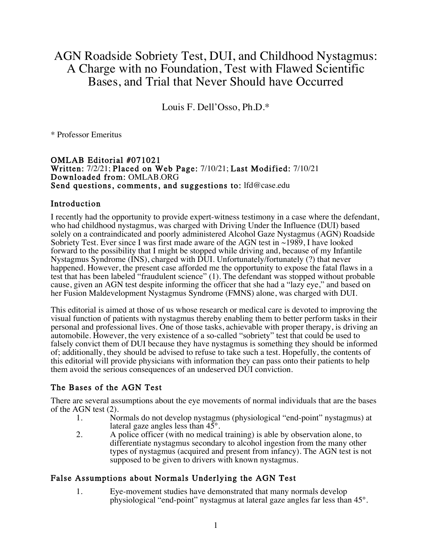# AGN Roadside Sobriety Test, DUI, and Childhood Nystagmus: A Charge with no Foundation, Test with Flawed Scientific Bases, and Trial that Never Should have Occurred

Louis F. Dell'Osso, Ph.D.\*

\* Professor Emeritus

#### OMLAB Editorial #071021 Written: 7/2/21; Placed on Web Page: 7/10/21; Last Modified: 7/10/21 Downloaded from: OMLAB.ORG Send questions, comments, and suggestions to: lfd@case.edu

### Introduction

I recently had the opportunity to provide expert-witness testimony in a case where the defendant, who had childhood nystagmus, was charged with Driving Under the Influence (DUI) based solely on a contraindicated and poorly administered Alcohol Gaze Nystagmus (AGN) Roadside Sobriety Test. Ever since I was first made aware of the AGN test in ~1989, I have looked forward to the possibility that I might be stopped while driving and, because of my Infantile Nystagmus Syndrome (INS), charged with DUI. Unfortunately/fortunately (?) that never happened. However, the present case afforded me the opportunity to expose the fatal flaws in a test that has been labeled "fraudulent science" (1). The defendant was stopped without probable cause, given an AGN test despite informing the officer that she had a "lazy eye," and based on her Fusion Maldevelopment Nystagmus Syndrome (FMNS) alone, was charged with DUI.

This editorial is aimed at those of us whose research or medical care is devoted to improving the visual function of patients with nystagmus thereby enabling them to better perform tasks in their personal and professional lives. One of those tasks, achievable with proper therapy, is driving an automobile. However, the very existence of a so-called "sobriety" test that could be used to falsely convict them of DUI because they have nystagmus is something they should be informed of; additionally, they should be advised to refuse to take such a test. Hopefully, the contents of this editorial will provide physicians with information they can pass onto their patients to help them avoid the serious consequences of an undeserved DUI conviction.

### The Bases of the AGN Test

There are several assumptions about the eye movements of normal individuals that are the bases of the AGN test (2).

- 1. Normals do not develop nystagmus (physiological "end-point" nystagmus) at lateral gaze angles less than 45°.
- 2. A police officer (with no medical training) is able by observation alone, to differentiate nystagmus secondary to alcohol ingestion from the many other types of nystagmus (acquired and present from infancy). The AGN test is not supposed to be given to drivers with known nystagmus.

### False Assumptions about Normals Underlying the AGN Test

1. Eye-movement studies have demonstrated that many normals develop physiological "end-point" nystagmus at lateral gaze angles far less than 45°.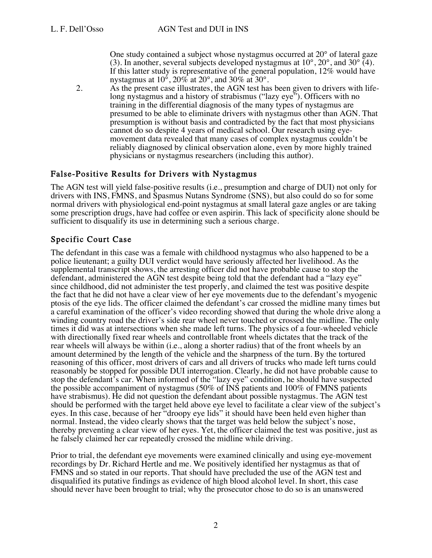One study contained a subject whose nystagmus occurred at  $20^{\circ}$  of lateral gaze (3). In another, several subjects developed nystagmus at  $10^{\circ}$ ,  $20^{\circ}$ , and  $30^{\circ}$  (4). If this latter study is representative of the general population,  $12\%$  would have nystagmus at  $10^{\circ}$ ,  $20\%$  at  $20^{\circ}$ , and  $30\%$  at  $30^{\circ}$ .

2. As the present case illustrates, the AGN test has been given to drivers with life- long nystagmus and a history of strabismus ("lazy eye"). Officers with no training in the differential diagnosis of the many types of nystagmus are presumed to be able to eliminate drivers with nystagmus other than AGN. That presumption is without basis and contradicted by the fact that most physicians cannot do so despite 4 years of medical school. Our research using eye- movement data revealed that many cases of complex nystagmus couldn't be reliably diagnosed by clinical observation alone, even by more highly trained physicians or nystagmus researchers (including this author).

# False-Positive Results for Drivers with Nystagmus

The AGN test will yield false-positive results (i.e., presumption and charge of DUI) not only for drivers with INS, FMNS, and Spasmus Nutans Syndrome (SNS), but also could do so for some normal drivers with physiological end-point nystagmus at small lateral gaze angles or are taking some prescription drugs, have had coffee or even aspirin. This lack of specificity alone should be sufficient to disqualify its use in determining such a serious charge.

# Specific Court Case

The defendant in this case was a female with childhood nystagmus who also happened to be a police lieutenant; a guilty DUI verdict would have seriously affected her livelihood. As the supplemental transcript shows, the arresting officer did not have probable cause to stop the defendant, administered the AGN test despite being told that the defendant had a "lazy eye" since childhood, did not administer the test properly, and claimed the test was positive despite the fact that he did not have a clear view of her eye movements due to the defendant's myogenic ptosis of the eye lids. The officer claimed the defendant's car crossed the midline many times but a careful examination of the officer's video recording showed that during the whole drive along a winding country road the driver's side rear wheel never touched or crossed the midline. The only times it did was at intersections when she made left turns. The physics of a four-wheeled vehicle with directionally fixed rear wheels and controllable front wheels dictates that the track of the rear wheels will always be within (i.e., along a shorter radius) that of the front wheels by an amount determined by the length of the vehicle and the sharpness of the turn. By the tortured reasoning of this officer, most drivers of cars and all drivers of trucks who made left turns could reasonably be stopped for possible DUI interrogation. Clearly, he did not have probable cause to stop the defendant's car. When informed of the "lazy eye" condition, he should have suspected the possible accompaniment of nystagmus (50% of INS patients and 100% of FMNS patients have strabismus). He did not question the defendant about possible nystagmus. The AGN test should be performed with the target held above eye level to facilitate a clear view of the subject's eyes. In this case, because of her "droopy eye lids" it should have been held even higher than normal. Instead, the video clearly shows that the target was held below the subject's nose, thereby preventing a clear view of her eyes. Yet, the officer claimed the test was positive, just as he falsely claimed her car repeatedly crossed the midline while driving.

Prior to trial, the defendant eye movements were examined clinically and using eye-movement recordings by Dr. Richard Hertle and me. We positively identified her nystagmus as that of FMNS and so stated in our reports. That should have precluded the use of the AGN test and disqualified its putative findings as evidence of high blood alcohol level. In short, this case should never have been brought to trial; why the prosecutor chose to do so is an unanswered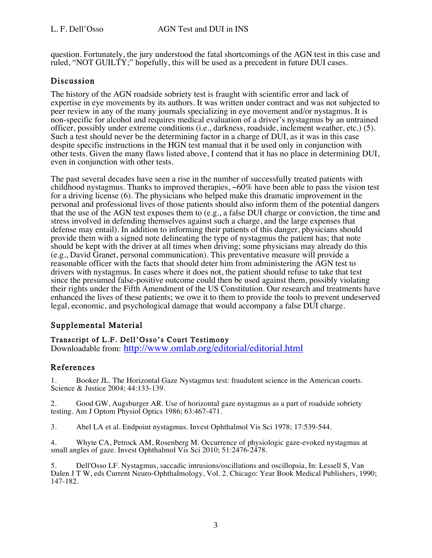question. Fortunately, the jury understood the fatal shortcomings of the AGN test in this case and ruled, "NOT GUILTY;" hopefully, this will be used as a precedent in future DUI cases.

### Discussion

The history of the AGN roadside sobriety test is fraught with scientific error and lack of expertise in eye movements by its authors. It was written under contract and was not subjected to peer review in any of the many journals specializing in eye movement and/or nystagmus. It is non-specific for alcohol and requires medical evaluation of a driver's nystagmus by an untrained officer, possibly under extreme conditions (i.e., darkness, roadside, inclement weather, etc.) (5). Such a test should never be the determining factor in a charge of DUI, as it was in this case despite specific instructions in the HGN test manual that it be used only in conjunction with other tests. Given the many flaws listed above, I contend that it has no place in determining DUI, even in conjunction with other tests.

The past several decades have seen a rise in the number of successfully treated patients with childhood nystagmus. Thanks to improved therapies,  $\sim 60\%$  have been able to pass the vision test for a driving license (6). The physicians who helped make this dramatic improvement in the personal and professional lives of those patients should also inform them of the potential dangers that the use of the AGN test exposes them to (e.g., a false DUI charge or conviction, the time and stress involved in defending themselves against such a charge, and the large expenses that defense may entail). In addition to informing their patients of this danger, physicians should provide them with a signed note delineating the type of nystagmus the patient has; that note should be kept with the driver at all times when driving; some physicians may already do this (e.g., David Granet, personal communication). This preventative measure will provide a reasonable officer with the facts that should deter him from administering the AGN test to drivers with nystagmus. In cases where it does not, the patient should refuse to take that test since the presumed false-positive outcome could then be used against them, possibly violating their rights under the Fifth Amendment of the US Constitution. Our research and treatments have enhanced the lives of these patients; we owe it to them to provide the tools to prevent undeserved legal, economic, and psychological damage that would accompany a false DUI charge.

# Supplemental Material

### Transcript of L.F. Dell'Osso's Court Testimony

Downloadable from: http://www.omlab.org/editorial/editorial.html

# References

1. Booker JL. The Horizontal Gaze Nystagmus test: fraudulent science in the American courts. Science & Justice 2004; 44:133-139.

2. Good GW, Augsburger AR. Use of horizontal gaze nystagmus as a part of roadside sobriety testing. Am J Optom Physiol Optics 1986; 63:467-471.

3. Abel LA et al. Endpoint nystagmus. Invest Ophthalmol Vis Sci 1978; 17:539-544.

4. Whyte CA, Petrock AM, Rosenberg M. Occurrence of physiologic gaze-evoked nystagmus at small angles of gaze. Invest Ophthalmol Vis Sci 2010; 51:2476-2478.

5. Dell'Osso LF. Nystagmus, saccadic intrusions/oscillations and oscillopsia, In: Lessell S, Van Dalen J T W, eds Current Neuro-Ophthalmology, Vol. 2. Chicago: Year Book Medical Publishers, 1990; 147-182.